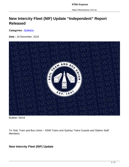https://rtbuexpress.com.au

## **New Intercity Fleet (NIF) Update "Independent" Report Released**

**Categories : [Bulletins](https://rtbuexpress.com.au/category/news/bulletins/)** 

**Date :** 18 December, 2019



Bulletin: 55/19

To: Rail, Tram and Bus Union – NSW Trains and Sydney Trains Guards and Station Staff Members.

## **New Intercity Fleet (NIF) Update**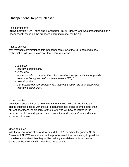## **"Independent" Report Released**

This morning the

RTBU met with NSW Trains and Transport for NSW (**TfNSW**) and was presented with an **"** independent**"** report on the proposed operating model for the NIF.

TfNSW advised

that they had commissioned this independent review of the NIF operating model by Metcalfe Rail Safety to answer three core questions:

1. Is the NIF

operating model safe?

2. Is the new

model as safe as, or safer than, the current operating conditions for guards when monitoring the platform train interface (PTI)?

3. How does the NIF operating model compare with methods used by the international train operating community?

In the overview

provided, it should surprise no one that the answers were all positive to the closed questions asked with the NIF operating model being deemed safer than current operations, particularly for the guard who will now be locked in the crew cab for the train departure process and the added duties/workload being expected of drivers.

Once again, as

with the recent wage offer for drivers and the 2023 deadline for guards, NSW Trains and TfNSW have arrived with a pre-prepared final document, dropped it on the table and advised that they will be making it available to all staff on the same day the RTBU and its members get to see it.